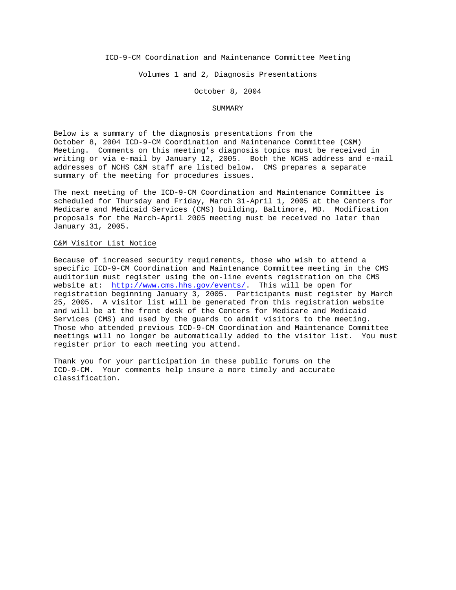ICD-9-CM Coordination and Maintenance Committee Meeting

Volumes 1 and 2, Diagnosis Presentations

October 8, 2004

### SUMMARY

Below is a summary of the diagnosis presentations from the October 8, 2004 ICD-9-CM Coordination and Maintenance Committee (C&M) Meeting. Comments on this meeting's diagnosis topics must be received in writing or via e-mail by January 12, 2005. Both the NCHS address and e-mail addresses of NCHS C&M staff are listed below. CMS prepares a separate summary of the meeting for procedures issues.

The next meeting of the ICD-9-CM Coordination and Maintenance Committee is scheduled for Thursday and Friday, March 31-April 1, 2005 at the Centers for Medicare and Medicaid Services (CMS) building, Baltimore, MD. Modification proposals for the March-April 2005 meeting must be received no later than January 31, 2005.

#### C&M Visitor List Notice

Because of increased security requirements, those who wish to attend a specific ICD-9-CM Coordination and Maintenance Committee meeting in the CMS auditorium must register using the on-line events registration on the CMS website at: http://www.cms.hhs.gov/events/. This will be open for registration beginning January 3, 2005. Participants must register by March 25, 2005. A visitor list will be generated from this registration website and will be at the front desk of the Centers for Medicare and Medicaid Services (CMS) and used by the guards to admit visitors to the meeting. Those who attended previous ICD-9-CM Coordination and Maintenance Committee meetings will no longer be automatically added to the visitor list. You must register prior to each meeting you attend.

Thank you for your participation in these public forums on the ICD-9-CM. Your comments help insure a more timely and accurate classification.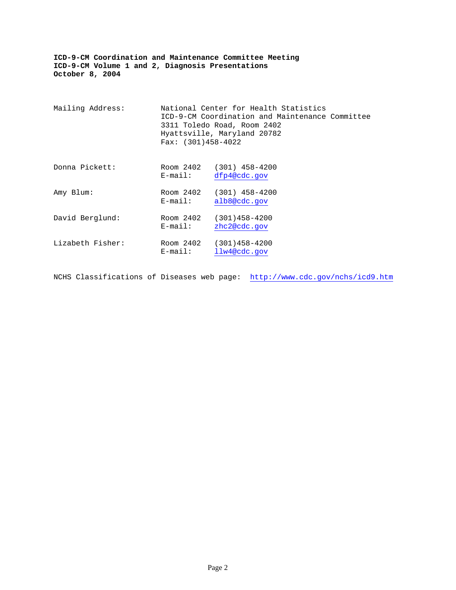| Mailing Address: | Fax: $(301)458-4022$    | National Center for Health Statistics<br>ICD-9-CM Coordination and Maintenance Committee<br>3311 Toledo Road, Room 2402<br>Hyattsville, Maryland 20782 |  |
|------------------|-------------------------|--------------------------------------------------------------------------------------------------------------------------------------------------------|--|
| Donna Pickett:   | Room 2402<br>$E$ -mail: | $(301)$ 458-4200<br>dfp4@cdc.gov                                                                                                                       |  |
| Amy Blum:        | Room 2402<br>$E$ -mail: | $(301)$ 458-4200<br>alb8@cdc.gov                                                                                                                       |  |
| David Berglund:  | Room 2402<br>$E$ -mail: | $(301)458 - 4200$<br>zhc2@cdc.gov                                                                                                                      |  |
| Lizabeth Fisher: | Room 2402<br>$E$ -mail: | $(301)458 - 4200$<br>llw4@cdc.gov                                                                                                                      |  |

NCHS Classifications of Diseases web page: http://www.cdc.gov/nchs/icd9.htm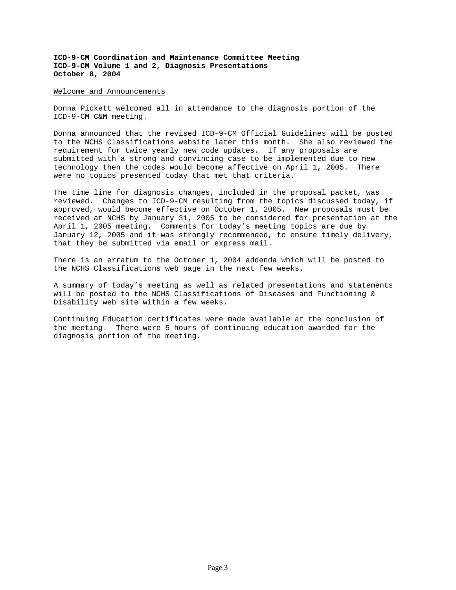### Welcome and Announcements

Donna Pickett welcomed all in attendance to the diagnosis portion of the ICD-9-CM C&M meeting.

Donna announced that the revised ICD-9-CM Official Guidelines will be posted to the NCHS Classifications website later this month. She also reviewed the requirement for twice yearly new code updates. If any proposals are submitted with a strong and convincing case to be implemented due to new technology then the codes would become affective on April 1, 2005. There were no topics presented today that met that criteria.

The time line for diagnosis changes, included in the proposal packet, was reviewed. Changes to ICD-9-CM resulting from the topics discussed today, if approved, would become effective on October 1, 2005. New proposals must be received at NCHS by January 31, 2005 to be considered for presentation at the April 1, 2005 meeting. Comments for today's meeting topics are due by January 12, 2005 and it was strongly recommended, to ensure timely delivery, that they be submitted via email or express mail.

There is an erratum to the October 1, 2004 addenda which will be posted to the NCHS Classifications web page in the next few weeks.

A summary of today's meeting as well as related presentations and statements will be posted to the NCHS Classifications of Diseases and Functioning & Disability web site within a few weeks.

Continuing Education certificates were made available at the conclusion of the meeting. There were 5 hours of continuing education awarded for the diagnosis portion of the meeting.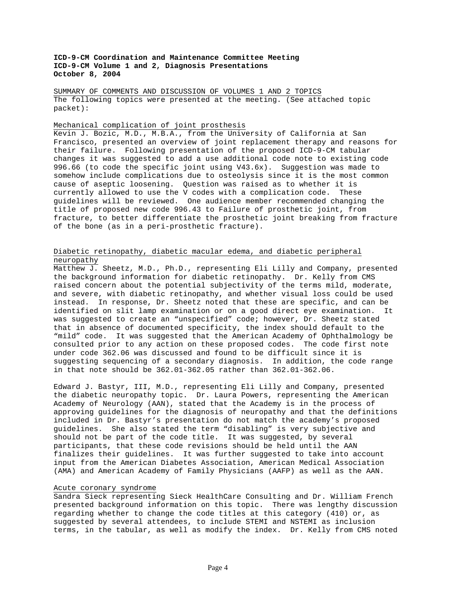SUMMARY OF COMMENTS AND DISCUSSION OF VOLUMES 1 AND 2 TOPICS The following topics were presented at the meeting. (See attached topic packet):

## Mechanical complication of joint prosthesis

Kevin J. Bozic, M.D., M.B.A., from the University of California at San Francisco, presented an overview of joint replacement therapy and reasons for their failure. Following presentation of the proposed ICD-9-CM tabular changes it was suggested to add a use additional code note to existing code 996.66 (to code the specific joint using V43.6x). Suggestion was made to somehow include complications due to osteolysis since it is the most common cause of aseptic loosening. Question was raised as to whether it is currently allowed to use the V codes with a complication code. These guidelines will be reviewed. One audience member recommended changing the title of proposed new code 996.43 to Failure of prosthetic joint, from fracture, to better differentiate the prosthetic joint breaking from fracture of the bone (as in a peri-prosthetic fracture).

# Diabetic retinopathy, diabetic macular edema, and diabetic peripheral neuropathy

Matthew J. Sheetz, M.D., Ph.D., representing Eli Lilly and Company, presented the background information for diabetic retinopathy. Dr. Kelly from CMS raised concern about the potential subjectivity of the terms mild, moderate, and severe, with diabetic retinopathy, and whether visual loss could be used instead. In response, Dr. Sheetz noted that these are specific, and can be identified on slit lamp examination or on a good direct eye examination. It was suggested to create an "unspecified" code; however, Dr. Sheetz stated that in absence of documented specificity, the index should default to the "mild" code. It was suggested that the American Academy of Ophthalmology be consulted prior to any action on these proposed codes. The code first note under code 362.06 was discussed and found to be difficult since it is suggesting sequencing of a secondary diagnosis. In addition, the code range in that note should be 362.01-362.05 rather than 362.01-362.06.

Edward J. Bastyr, III, M.D., representing Eli Lilly and Company, presented the diabetic neuropathy topic. Dr. Laura Powers, representing the American Academy of Neurology (AAN), stated that the Academy is in the process of approving guidelines for the diagnosis of neuropathy and that the definitions included in Dr. Bastyr's presentation do not match the academy's proposed guidelines. She also stated the term "disabling" is very subjective and should not be part of the code title. It was suggested, by several participants, that these code revisions should be held until the AAN finalizes their guidelines. It was further suggested to take into account input from the American Diabetes Association, American Medical Association (AMA) and American Academy of Family Physicians (AAFP) as well as the AAN.

#### Acute coronary syndrome

Sandra Sieck representing Sieck HealthCare Consulting and Dr. William French presented background information on this topic. There was lengthy discussion regarding whether to change the code titles at this category (410) or, as suggested by several attendees, to include STEMI and NSTEMI as inclusion terms, in the tabular, as well as modify the index. Dr. Kelly from CMS noted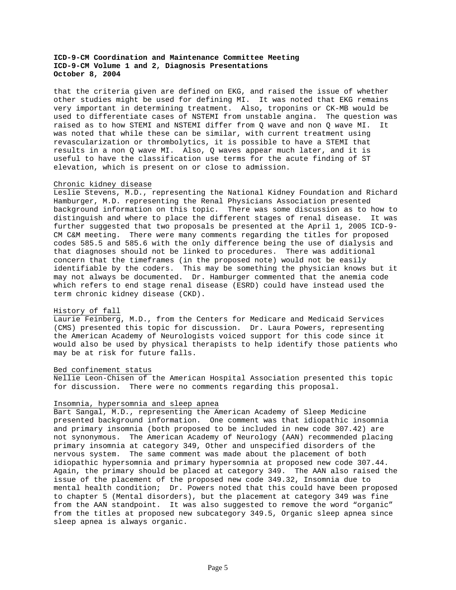that the criteria given are defined on EKG, and raised the issue of whether other studies might be used for defining MI. It was noted that EKG remains very important in determining treatment. Also, troponins or CK-MB would be used to differentiate cases of NSTEMI from unstable angina. The question was raised as to how STEMI and NSTEMI differ from Q wave and non Q wave MI. It was noted that while these can be similar, with current treatment using revascularization or thrombolytics, it is possible to have a STEMI that results in a non Q wave MI. Also, Q waves appear much later, and it is useful to have the classification use terms for the acute finding of ST elevation, which is present on or close to admission.

## Chronic kidney disease

Leslie Stevens, M.D., representing the National Kidney Foundation and Richard Hamburger, M.D. representing the Renal Physicians Association presented background information on this topic. There was some discussion as to how to distinguish and where to place the different stages of renal disease. It was further suggested that two proposals be presented at the April 1, 2005 ICD-9- CM C&M meeting. There were many comments regarding the titles for proposed codes 585.5 and 585.6 with the only difference being the use of dialysis and that diagnoses should not be linked to procedures. There was additional concern that the timeframes (in the proposed note) would not be easily identifiable by the coders. This may be something the physician knows but it may not always be documented. Dr. Hamburger commented that the anemia code which refers to end stage renal disease (ESRD) could have instead used the term chronic kidney disease (CKD).

## History of fall

Laurie Feinberg, M.D., from the Centers for Medicare and Medicaid Services (CMS) presented this topic for discussion. Dr. Laura Powers, representing the American Academy of Neurologists voiced support for this code since it would also be used by physical therapists to help identify those patients who may be at risk for future falls.

## Bed confinement status

Nellie Leon-Chisen of the American Hospital Association presented this topic for discussion. There were no comments regarding this proposal.

#### Insomnia, hypersomnia and sleep apnea

Bart Sangal, M.D., representing the American Academy of Sleep Medicine presented background information. One comment was that idiopathic insomnia and primary insomnia (both proposed to be included in new code 307.42) are not synonymous. The American Academy of Neurology (AAN) recommended placing primary insomnia at category 349, Other and unspecified disorders of the nervous system. The same comment was made about the placement of both idiopathic hypersomnia and primary hypersomnia at proposed new code 307.44. Again, the primary should be placed at category 349. The AAN also raised the issue of the placement of the proposed new code 349.32, Insomnia due to mental health condition; Dr. Powers noted that this could have been proposed to chapter 5 (Mental disorders), but the placement at category 349 was fine from the AAN standpoint. It was also suggested to remove the word "organic" from the titles at proposed new subcategory 349.5, Organic sleep apnea since sleep apnea is always organic.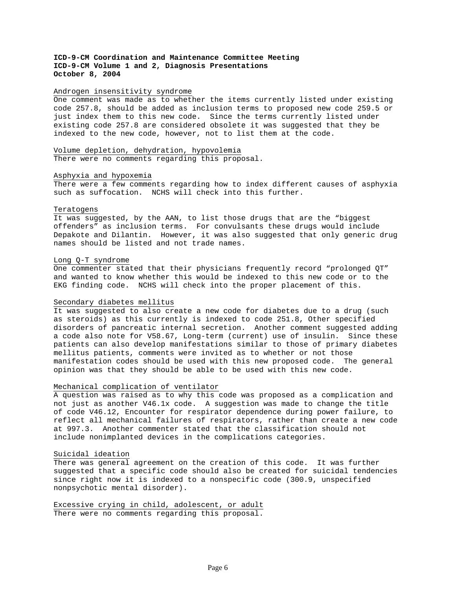#### Androgen insensitivity syndrome

One comment was made as to whether the items currently listed under existing code 257.8, should be added as inclusion terms to proposed new code 259.5 or just index them to this new code. Since the terms currently listed under existing code 257.8 are considered obsolete it was suggested that they be indexed to the new code, however, not to list them at the code.

Volume depletion, dehydration, hypovolemia There were no comments regarding this proposal.

### Asphyxia and hypoxemia

There were a few comments regarding how to index different causes of asphyxia such as suffocation. NCHS will check into this further.

#### Teratogens

It was suggested, by the AAN, to list those drugs that are the "biggest offenders" as inclusion terms. For convulsants these drugs would include Depakote and Dilantin. However, it was also suggested that only generic drug names should be listed and not trade names.

### Long Q-T syndrome

One commenter stated that their physicians frequently record "prolonged QT" and wanted to know whether this would be indexed to this new code or to the EKG finding code. NCHS will check into the proper placement of this.

### Secondary diabetes mellitus

It was suggested to also create a new code for diabetes due to a drug (such as steroids) as this currently is indexed to code 251.8, Other specified disorders of pancreatic internal secretion. Another comment suggested adding a code also note for V58.67, Long-term (current) use of insulin. Since these patients can also develop manifestations similar to those of primary diabetes mellitus patients, comments were invited as to whether or not those manifestation codes should be used with this new proposed code. The general opinion was that they should be able to be used with this new code.

## Mechanical complication of ventilator

A question was raised as to why this code was proposed as a complication and not just as another V46.1x code. A suggestion was made to change the title of code V46.12, Encounter for respirator dependence during power failure, to reflect all mechanical failures of respirators, rather than create a new code at 997.3. Another commenter stated that the classification should not include nonimplanted devices in the complications categories.

## Suicidal ideation

There was general agreement on the creation of this code. It was further suggested that a specific code should also be created for suicidal tendencies since right now it is indexed to a nonspecific code (300.9, unspecified nonpsychotic mental disorder).

Excessive crying in child, adolescent, or adult There were no comments regarding this proposal.